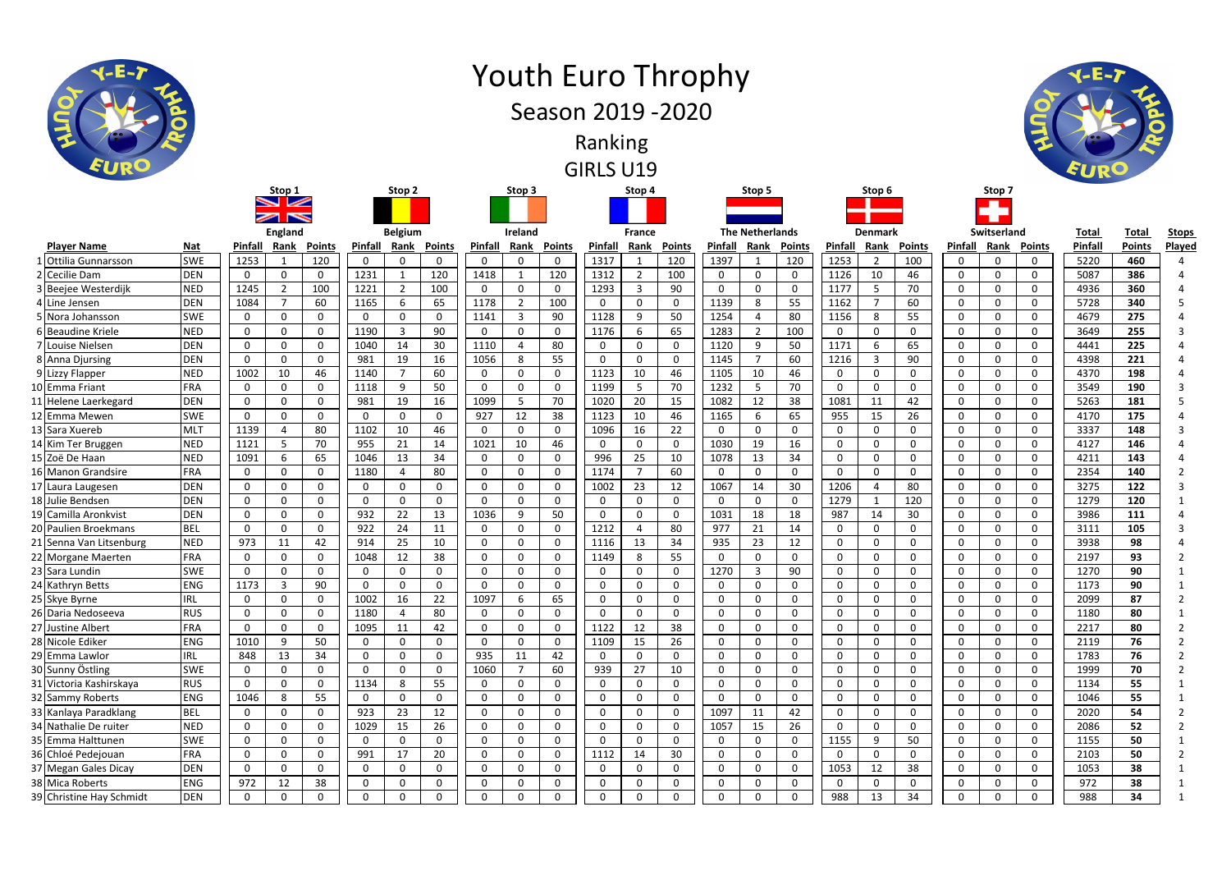|                          |            |              | <b>England</b> |          |                | <b>Belgium</b> |                |              | Ireland        |                         |              | <b>France</b>  |                 |              | <b>The Netherlands</b> |               |                | <b>Denmark</b> |               |                | Switserland  |              | <b>Total</b> | <b>Total</b>  | <u>Stor</u>    |
|--------------------------|------------|--------------|----------------|----------|----------------|----------------|----------------|--------------|----------------|-------------------------|--------------|----------------|-----------------|--------------|------------------------|---------------|----------------|----------------|---------------|----------------|--------------|--------------|--------------|---------------|----------------|
| <b>Player Name</b>       | Nat        | Pinfall      | <u>Rank</u>    | Points   | <b>Pinfall</b> | Rank           | <u>Points</u>  | Pinfall      | Rank           | Points                  | Pinfall      | Rank           | <u>Points</u>   | Pinfall      | <u>Rank</u>            | <u>Points</u> | <b>Pinfall</b> | <u>Rank</u>    | <b>Points</b> | <b>Pinfall</b> | <u>Rank</u>  | Points       | Pinfal       | <b>Points</b> | <b>Play</b>    |
| 1 Ottilia Gunnarsson     | <b>SWE</b> | 1253         |                | 120      | 0              | 0              | 0              | $\mathbf{0}$ | 0              | $\mathbf 0$             | 1317         | -1             | 120             | 1397         |                        | 120           | 1253           | -2             | 100           | 0              | $\Omega$     | 0            | 5220         | 460           |                |
| 2 Cecilie Dam            | DEN        | 0            | 0              |          | 1231           |                | 120            | 1418         |                | 120                     | 1312         | $\overline{2}$ | 100             | 0            | 0                      | 0             | 1126           | 10             | 46            | 0              | $\Omega$     | 0            | 5087         | 386           |                |
| 3 Beejee Westerdijk      | <b>NED</b> | 1245         | $\overline{2}$ | 100      | 1221           | $\overline{2}$ | 100            | $\mathbf 0$  | 0              | $\mathbf 0$             | 1293         | $\overline{3}$ | 90              | 0            | 0                      | $\mathbf 0$   | 1177           | -5             | 70            | $\mathbf{0}$   | $\Omega$     | $\mathbf{0}$ | 4936         | 360           |                |
| 4 Line Jensen            | DEN        | 1084         | $\overline{7}$ | 60       | 1165           | 6              | 65             | 1178         | $\overline{2}$ | 100                     | $\mathbf 0$  | 0              | $\mathbf{0}$    | 1139         | 8                      | 55            | 1162           | 7              | 60            | 0              | $\Omega$     | 0            | 5728         | 340           |                |
| 5 Nora Johansson         | <b>SWE</b> | 0            | $\mathbf{0}$   | 0        | -0             | $\Omega$       | $\overline{0}$ | 1141         | -3             | 90                      | 1128         | 9              | 50              | 1254         |                        | 80            | 1156           | 8              | 55            | 0              | $\Omega$     | 0            | 4679         | 275           |                |
| 6 Beaudine Kriele        | <b>NED</b> | 0            | $\Omega$       | 0        | 1190           | 3              | 90             | 0            | $\Omega$       | 0                       | 1176         | 6              | 65              | 1283         |                        | 100           | 0              | O              | $\Omega$      | 0              | $\Omega$     | 0            | 3649         | 255           |                |
| 7 Louise Nielsen         | <b>DEN</b> | $\Omega$     | $\Omega$       | $\Omega$ | 1040           | 14             | 30             | 1110         | Δ              | 80                      | 0            | 0              | $\mathbf{0}$    | 1120         | 9                      | 50            | 1171           | 6              | 65            | $\mathbf 0$    | $\Omega$     | 0            | 4441         | 225           |                |
| 8 Anna Djursing          | DEN        | $\Omega$     | $\Omega$       | 0        | 981            | 19             | 16             | 1056         | 8              | 55                      | $\mathbf{0}$ | 0              | $\mathbf{0}$    | 1145         | $\overline{7}$         | 60            | 1216           | -3             | 90            | $\mathbf 0$    | $\Omega$     | 0            | 4398         | 221           |                |
| 9 Lizzy Flapper          | <b>NED</b> | 1002         | 10             | 46       | 1140           |                | 60             | $\mathbf 0$  | $\Omega$       | $\mathsf{O}\phantom{0}$ | 1123         | 10             | 46              | 1105         | 10                     | 46            | $\Omega$       | O              | $\Omega$      | 0              | $\Omega$     | 0            | 4370         | 198           |                |
| 10 Emma Friant           | <b>FRA</b> | 0            | $\Omega$       | 0        | 1118           | 9              | 50             | 0            | $\Omega$       | 0                       | 1199         | -5             | 70              | 1232         | 5                      | 70            | 0              | 0              | $\Omega$      | 0              | $\Omega$     | $\Omega$     | 3549         | 190           |                |
| 11 Helene Laerkegard     | DEN        | $\Omega$     | $\Omega$       | 0        | 981            | 19             | 16             | 1099         | 5              | 70                      | 1020         | 20             | 15              | 1082         | 12                     | 38            | 1081           | 11             | 42            | $\mathbf 0$    | 0            | $\mathbf 0$  | 5263         | 181           |                |
| 12 Emma Mewen            | <b>SWE</b> | 0            | $\Omega$       | 0        | 0              | 0              | $\mathbf 0$    | 927          | 12             | 38                      | 1123         | 10             | 46              | 1165         | 6                      | 65            | 955            | 15             | 26            | 0              | $\Omega$     | 0            | 4170         | 175           |                |
| 13 Sara Xuereb           | <b>MLT</b> | 1139         | $\overline{4}$ | 80       | 1102           | 10             | 46             | 0            | 0              | 0                       | 1096         | 16             | 22              | 0            | 0                      | $\mathbf 0$   | 0              | 0              | $\Omega$      | $\mathbf 0$    | $\Omega$     | 0            | 3337         | 148           |                |
| 14 Kim Ter Bruggen       | <b>NED</b> | 1121         | -5             | 70       | 955            | 21             | 14             | 1021         | 10             | 46                      | 0            | $\Omega$       | 0               | 1030         | 19                     | 16            | $\Omega$       | 0              | $\Omega$      | 0              | $\Omega$     | $\mathbf{0}$ | 4127         | 146           |                |
| 15 Zoë De Haan           | <b>NED</b> | 1091         | 6              | 65       | 1046           | 13             | 34             | 0            | 0              | 0                       | 996          | 25             | 10              | 1078         | 13                     | 34            | $\Omega$       | 0              | $\Omega$      | 0              | $\Omega$     | 0            | 4211         | 143           |                |
| 16 Manon Grandsire       | FRA        | 0            | $\Omega$       | 0        | 1180           | 4              | 80             | 0            | 0              | $\mathbf 0$             | 1174         | 7              | 60              | $\Omega$     | $\Omega$               | $\mathbf 0$   | $\Omega$       | <sup>0</sup>   | $\Omega$      | 0              | $\mathbf{0}$ | 0            | 2354         | 140           |                |
| 17 Laura Laugesen        | DEN        | 0            | $\Omega$       | 0        | 0              | $\mathbf{0}$   | $\mathbf 0$    | $\mathbf 0$  | 0              | 0                       | 1002         | 23             | 12              | 1067         | 14                     | 30            | 1206           |                | 80            | $\mathbf{0}$   | $\Omega$     | 0            | 3275         | 122           |                |
| 18 Julie Bendsen         | DEN        | $\Omega$     | $\Omega$       | $\Omega$ | $\Omega$       | $\mathbf{0}$   | 0              | 0            | $\Omega$       | $\mathsf{O}$            | 0            | 0              | $\mathbf{0}$    | $\Omega$     | 0                      | $\mathbf 0$   | 1279           |                | 120           | $\mathbf 0$    | $\mathbf{0}$ | 0            | 1279         | 120           |                |
| 19 Camilla Aronkvist     | DEN        | $\Omega$     | $\Omega$       | 0        | 932            | 22             | 13             | 1036         | 9              | 50                      | $\mathbf{0}$ | $\Omega$       | $\Omega$        | 1031         | 18                     | 18            | 987            | 14             | 30            | $\mathbf 0$    | $\Omega$     | 0            | 3986         | 111           |                |
| 20 Paulien Broekmans     | <b>BEL</b> | 0            | $\Omega$       | $\Omega$ | 922            | 24             | 11             | 0            | 0              | 0                       | 1212         | 4              | 80              | 977          | 21                     | 14            | 0              | 0              | $\Omega$      | 0              | $\Omega$     | 0            | 3111         | 105           |                |
| 21 Senna Van Litsenburg  | <b>NED</b> | 973          | 11             | 42       | 914            | 25             | 10             | $\mathbf 0$  | 0              | 0                       | 1116         | 13             | 34              | 935          | 23                     | 12            | $\Omega$       | 0              | $\Omega$      | 0              | $\Omega$     | 0            | 3938         | 98            |                |
| 22 Morgane Maerten       | FRA        | $\Omega$     | $\Omega$       | 0        | 1048           | 12             | 38             | 0            | 0              | 0                       | 1149         | 8              | 55              | $\Omega$     | 0                      | $\mathbf 0$   | $\Omega$       | 0              | $\Omega$      | 0              | $\Omega$     | $\mathbf 0$  | 2197         | 93            |                |
| 23 Sara Lundin           | <b>SWE</b> | <sup>0</sup> | $\Omega$       | 0        | -0             | $\Omega$       | $\mathbf 0$    | $\mathbf{0}$ | 0              | 0                       | 0            | $\Omega$       | $\Omega$        | 1270         | 3                      | 90            | $\Omega$       | 0              | $\Omega$      | 0              | $\Omega$     | 0            | 1270         | 90            |                |
| 24 Kathryn Betts         | <b>ENG</b> | 1173         | 3              | 90       | $\Omega$       | $\Omega$       | 0              | 0            | $\Omega$       | 0                       | 0            | 0              | 0               | $\Omega$     | 0                      | $\mathbf 0$   | $\Omega$       | 0              | $\Omega$      | 0              | $\Omega$     | 0            | 1173         | 90            |                |
| 25 Skye Byrne            | <b>IRL</b> | $\Omega$     | $\Omega$       | O        | 1002           | 16             | 22             | 1097         | 6              | 65                      | 0            | $\Omega$       | 0               | $\Omega$     | $\Omega$               | $\mathbf 0$   | $\Omega$       | <sup>0</sup>   | $\Omega$      | 0              | $\Omega$     | $\mathbf{0}$ | 2099         | 87            |                |
| 26 Daria Nedoseeva       | <b>RUS</b> | $\Omega$     | $\Omega$       | 0        | 1180           | 4              | 80             | $\mathbf 0$  | 0              | 0                       | $\mathbf{0}$ | 0              | 0               | $\Omega$     | $\Omega$               | 0             | $\Omega$       | 0              | $\Omega$      | 0              | 0            | $\mathbf{0}$ | 1180         | 80            |                |
| 27 Justine Albert        | FRA        | $\Omega$     | $\mathbf{0}$   | $\Omega$ | 1095           | 11             | 42             | 0            | 0              | $\mathsf{O}$            | 1122         | 12             | 38              | $\Omega$     | 0                      | $\mathbf 0$   | $\Omega$       | $\Omega$       | $\Omega$      | 0              | $\Omega$     | 0            | 2217         | 80            |                |
| 28 Nicole Ediker         | <b>ENG</b> | 1010         | 9              | 50       | 0              | $\Omega$       | 0              | $\mathbf 0$  | 0              | 0                       | 1109         | 15             | 26              | $\Omega$     | $\mathbf{0}$           | $\mathbf 0$   | $\Omega$       | 0              | $\Omega$      | 0              | $\Omega$     | 0            | 2119         | 76            |                |
| 29 Emma Lawlor           | <b>IRL</b> | 848          | 13             | 34       | $\mathbf{0}$   | 0              | 0              | 935          | 11             | 42                      | 0            | 0              | 0               | $\Omega$     | 0                      | $\mathbf 0$   | $\Omega$       | $\Omega$       | $\Omega$      | 0              | $\Omega$     | 0            | 1783         | 76            |                |
| 30 Sunny Östling         | <b>SWE</b> | 0            | $\Omega$       | 0        | 0              | $\Omega$       | 0              | 1060         |                | 60                      | 939          | 27             | 10              | 0            | $\Omega$               | $\mathbf 0$   | $\Omega$       | 0              | $\Omega$      | $\mathbf 0$    | $\Omega$     | 0            | 1999         | 70            |                |
| 31 Victoria Kashirskaya  | <b>RUS</b> | 0            | $\Omega$       |          | 1134           | 8              | 55             | $\mathbf{0}$ | $\Omega$       | $\Omega$                | $\mathbf{0}$ | $\Omega$       | $\mathbf{0}$    | $\mathbf{0}$ | $\Omega$               | $\mathbf{0}$  | $\Omega$       |                | $\Omega$      | 0              | $\Omega$     | $\Omega$     | 1134         | 55            |                |
| 32 Sammy Roberts         | <b>ENG</b> | 1046         | 8              | 55       | 0              | 0              | $\mathbf 0$    | 0            | 0              | $\mathbf 0$             | 0            | 0              | 0               | $\Omega$     | $\mathbf{0}$           | $\mathbf 0$   | $\mathbf 0$    | 0              | 0             | $\mathbf 0$    | 0            | $\mathbf{0}$ | 1046         | 55            |                |
| 33 Kanlaya Paradklang    | <b>BEL</b> | 0            | 0              | 0        | 923            | 23             | 12             | $\mathbf 0$  | 0              | $\mathsf{O}$            | 0            | $\mathbf 0$    | 0               | 1097         | 11                     | 42            | 0              | 0              | 0             | 0              | 0            | $\mathbf 0$  | 2020         | 54            | $\overline{2}$ |
| 34 Nathalie De ruiter    | <b>NED</b> | 0            | 0              | 0        | 1029           | 15             | 26             | $\mathbf 0$  | 0              | 0                       | 0            | 0              | 0               | 1057         | 15                     | 26            | $\Omega$       | 0              | $\Omega$      | 0              | $\Omega$     | 0            | 2086         | 52            | $\overline{2}$ |
| 35 Emma Halttunen        | <b>SWE</b> | 0            | 0              | 0        | 0              | 0              | $\mathbf 0$    | 0            | 0              | $\mathsf{O}\phantom{0}$ | $\mathbf 0$  | 0              | 0               | 0            | 0                      | $\mathbf 0$   | 1155           | 9              | 50            | $\mathbf 0$    | 0            | 0            | 1155         | 50            |                |
| 36 Chloé Pedejouan       | <b>FRA</b> | 0            | $\mathbf 0$    | 0        | 991            | 17             | 20             | $\mathbf 0$  | 0              | $\mathbf 0$             | 1112         | 14             | 30 <sup>°</sup> | 0            | 0                      | $\mathbf 0$   | $\Omega$       | 0              | 0             | $\mathbf 0$    | $\mathbf 0$  | $\mathbf 0$  | 2103         | 50            | $\overline{2}$ |
| 37 Megan Gales Dicay     | DEN        | 0            | $\mathbf 0$    | 0        | $\mathbf 0$    | $\mathsf{O}$   | $\mathbf 0$    | $\mathbf 0$  | $\mathbf 0$    | $\mathbf 0$             | $\mathbf 0$  | $\mathbf 0$    | 0               | $\mathbf 0$  | $\mathbf 0$            | $\mathbf 0$   | 1053           | 12             | 38            | $\mathbf 0$    | $\mathbf 0$  | $\mathbf 0$  | 1053         | 38            |                |
| 38 Mica Roberts          | <b>ENG</b> | 972          | 12             | 38       | $\overline{0}$ | 0              | 0              | 0            | 0              | $\mathbf 0$             | 0            | $\mathbf 0$    | 0               | $\mathbf 0$  | 0                      | $\mathbf 0$   | 0              | 0              | $\mathbf{0}$  | 0              | $\mathbf 0$  | 0            | 972          | 38            |                |
| 39 Christine Hay Schmidt | <b>DEN</b> | 0            | 0              | 0        | $\mathbf 0$    | 0              | $\mathbf 0$    | $\mathbf 0$  | 0              | 0                       | 0            | 0              | 0               | $\mathbf 0$  | 0                      | $\mathbf 0$   | 988            | 13             | 34            | $\mathbf 0$    | $\Omega$     | $\mathbf{0}$ | 988          | 34            | $\mathbf{1}$   |





**Stop 1**

**Stop 3**

**Stop 2**

GIRLS U19

## Youth Euro Throphy Season 2019 -2020

Ranking





**Total Points Stops Played Pinfall**



**Stop 4**